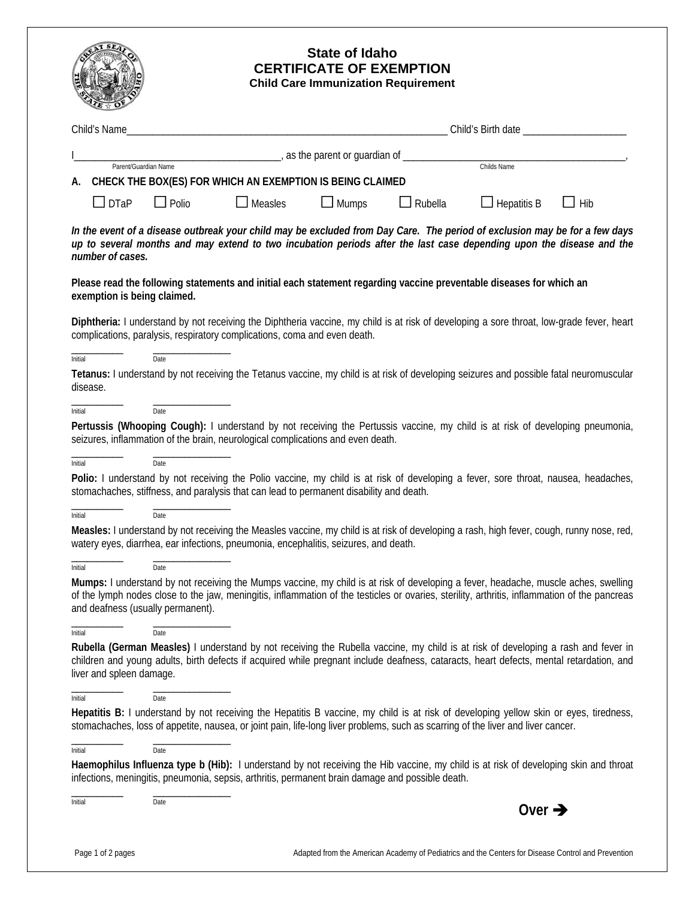|                                                                                                                                                                                                                                                                                                                           |                                                                              | <b>State of Idaho</b><br><b>CERTIFICATE OF EXEMPTION</b><br><b>Child Care Immunization Requirement</b> |                |                                           |            |
|---------------------------------------------------------------------------------------------------------------------------------------------------------------------------------------------------------------------------------------------------------------------------------------------------------------------------|------------------------------------------------------------------------------|--------------------------------------------------------------------------------------------------------|----------------|-------------------------------------------|------------|
| Child's Name                                                                                                                                                                                                                                                                                                              |                                                                              |                                                                                                        |                | Child's Birth date ______________________ |            |
|                                                                                                                                                                                                                                                                                                                           |                                                                              |                                                                                                        |                |                                           |            |
| Parent/Guardian Name                                                                                                                                                                                                                                                                                                      | <u>_______________________</u> , as the parent or guardian of ______________ |                                                                                                        |                | Childs Name                               |            |
| A. CHECK THE BOX(ES) FOR WHICH AN EXEMPTION IS BEING CLAIMED                                                                                                                                                                                                                                                              |                                                                              |                                                                                                        |                |                                           |            |
| $\Box$ Polio<br>$\Box$ DTaP                                                                                                                                                                                                                                                                                               | $\Box$ Measles                                                               | $\Box$ Mumps                                                                                           | $\Box$ Rubella | $\Box$ Hepatitis B                        | $\Box$ Hib |
| In the event of a disease outbreak your child may be excluded from Day Care. The period of exclusion may be for a few days<br>up to several months and may extend to two incubation periods after the last case depending upon the disease and the<br>number of cases.                                                    |                                                                              |                                                                                                        |                |                                           |            |
| Please read the following statements and initial each statement regarding vaccine preventable diseases for which an<br>exemption is being claimed.                                                                                                                                                                        |                                                                              |                                                                                                        |                |                                           |            |
| Diphtheria: I understand by not receiving the Diphtheria vaccine, my child is at risk of developing a sore throat, low-grade fever, heart<br>complications, paralysis, respiratory complications, coma and even death.                                                                                                    |                                                                              |                                                                                                        |                |                                           |            |
| Initial<br>Date                                                                                                                                                                                                                                                                                                           |                                                                              |                                                                                                        |                |                                           |            |
| Tetanus: I understand by not receiving the Tetanus vaccine, my child is at risk of developing seizures and possible fatal neuromuscular<br>disease.                                                                                                                                                                       |                                                                              |                                                                                                        |                |                                           |            |
| Date<br>Initial                                                                                                                                                                                                                                                                                                           |                                                                              |                                                                                                        |                |                                           |            |
| Pertussis (Whooping Cough): I understand by not receiving the Pertussis vaccine, my child is at risk of developing pneumonia,<br>seizures, inflammation of the brain, neurological complications and even death.                                                                                                          |                                                                              |                                                                                                        |                |                                           |            |
| Date<br>Initial                                                                                                                                                                                                                                                                                                           |                                                                              |                                                                                                        |                |                                           |            |
| Polio: I understand by not receiving the Polio vaccine, my child is at risk of developing a fever, sore throat, nausea, headaches,<br>stomachaches, stiffness, and paralysis that can lead to permanent disability and death.                                                                                             |                                                                              |                                                                                                        |                |                                           |            |
| Date<br>Initial                                                                                                                                                                                                                                                                                                           |                                                                              |                                                                                                        |                |                                           |            |
| Measles: I understand by not receiving the Measles vaccine, my child is at risk of developing a rash, high fever, cough, runny nose, red,<br>watery eyes, diarrhea, ear infections, pneumonia, encephalitis, seizures, and death.                                                                                         |                                                                              |                                                                                                        |                |                                           |            |
| Date<br>Initial                                                                                                                                                                                                                                                                                                           |                                                                              |                                                                                                        |                |                                           |            |
| Mumps: I understand by not receiving the Mumps vaccine, my child is at risk of developing a fever, headache, muscle aches, swelling<br>of the lymph nodes close to the jaw, meningitis, inflammation of the testicles or ovaries, sterility, arthritis, inflammation of the pancreas<br>and deafness (usually permanent). |                                                                              |                                                                                                        |                |                                           |            |
| Date<br>Initial                                                                                                                                                                                                                                                                                                           |                                                                              |                                                                                                        |                |                                           |            |
| Rubella (German Measles) I understand by not receiving the Rubella vaccine, my child is at risk of developing a rash and fever in<br>children and young adults, birth defects if acquired while pregnant include deafness, cataracts, heart defects, mental retardation, and<br>liver and spleen damage.                  |                                                                              |                                                                                                        |                |                                           |            |
| Date<br>Initial                                                                                                                                                                                                                                                                                                           |                                                                              |                                                                                                        |                |                                           |            |
| Hepatitis B: I understand by not receiving the Hepatitis B vaccine, my child is at risk of developing yellow skin or eyes, tiredness,<br>stomachaches, loss of appetite, nausea, or joint pain, life-long liver problems, such as scarring of the liver and liver cancer.                                                 |                                                                              |                                                                                                        |                |                                           |            |
| Date<br>Initial                                                                                                                                                                                                                                                                                                           |                                                                              |                                                                                                        |                |                                           |            |
| Haemophilus Influenza type b (Hib): I understand by not receiving the Hib vaccine, my child is at risk of developing skin and throat<br>infections, meningitis, pneumonia, sepsis, arthritis, permanent brain damage and possible death.                                                                                  |                                                                              |                                                                                                        |                |                                           |            |
| Initial<br>Date                                                                                                                                                                                                                                                                                                           |                                                                              |                                                                                                        |                | Over $\rightarrow$                        |            |